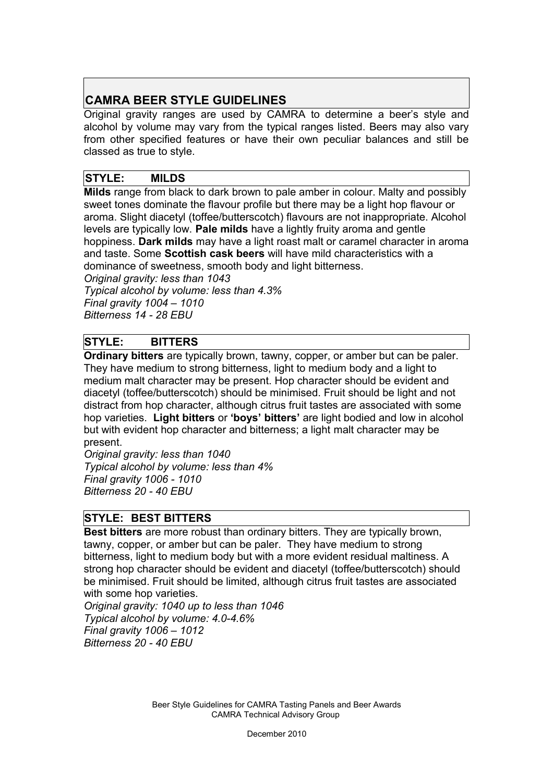# **CAMRA BEER STYLE GUIDELINES**

Original gravity ranges are used by CAMRA to determine a beer's style and alcohol by volume may vary from the typical ranges listed. Beers may also vary from other specified features or have their own peculiar balances and still be classed as true to style.

## **STYLE: MILDS**

**Milds** range from black to dark brown to pale amber in colour. Malty and possibly sweet tones dominate the flavour profile but there may be a light hop flavour or aroma. Slight diacetyl (toffee/butterscotch) flavours are not inappropriate. Alcohol levels are typically low. **Pale milds** have a lightly fruity aroma and gentle hoppiness. **Dark milds** may have a light roast malt or caramel character in aroma and taste. Some **Scottish cask beers** will have mild characteristics with a dominance of sweetness, smooth body and light bitterness.

*Original gravity: less than 1043 Typical alcohol by volume: less than 4.3% Final gravity 1004 – 1010 Bitterness 14 - 28 EBU*

# **STYLE: BITTERS**

**Ordinary bitters** are typically brown, tawny, copper, or amber but can be paler. They have medium to strong bitterness, light to medium body and a light to medium malt character may be present. Hop character should be evident and diacetyl (toffee/butterscotch) should be minimised. Fruit should be light and not distract from hop character, although citrus fruit tastes are associated with some hop varieties.**Light bitters** or **'boys' bitters'** are light bodied and low in alcohol but with evident hop character and bitterness; a light malt character may be present.

*Original gravity: less than 1040 Typical alcohol by volume: less than 4% Final gravity 1006 - 1010 Bitterness 20 - 40 EBU*

## **STYLE: BEST BITTERS**

**Best bitters** are more robust than ordinary bitters. They are typically brown, tawny, copper, or amber but can be paler. They have medium to strong bitterness, light to medium body but with a more evident residual maltiness. A strong hop character should be evident and diacetyl (toffee/butterscotch) should be minimised. Fruit should be limited, although citrus fruit tastes are associated with some hop varieties*.* 

*Original gravity: 1040 up to less than 1046 Typical alcohol by volume: 4.0-4.6% Final gravity 1006 – 1012 Bitterness 20 - 40 EBU*

> Beer Style Guidelines for CAMRA Tasting Panels and Beer Awards CAMRA Technical Advisory Group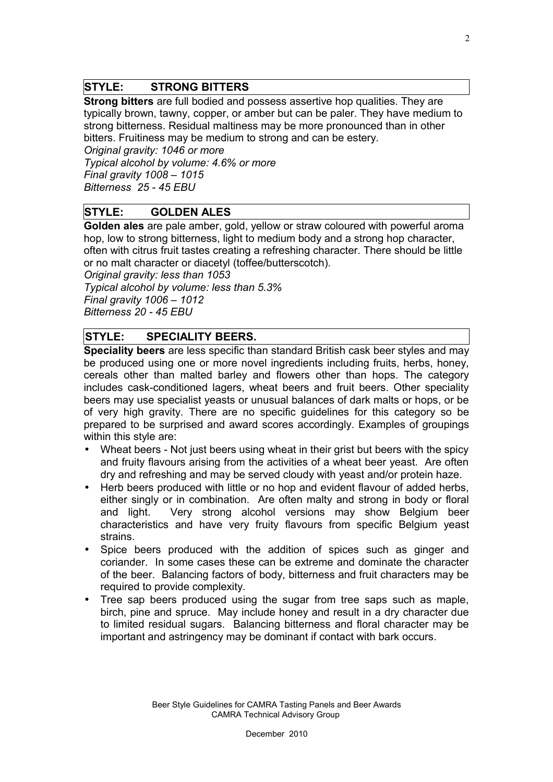#### **STYLE: STRONG BITTERS**

**Strong bitters** are full bodied and possess assertive hop qualities. They are typically brown, tawny, copper, or amber but can be paler. They have medium to strong bitterness. Residual maltiness may be more pronounced than in other bitters. Fruitiness may be medium to strong and can be estery.

*Original gravity: 1046 or more*

*Typical alcohol by volume: 4.6% or more Final gravity 1008 – 1015 Bitterness 25 - 45 EBU*

## **STYLE: GOLDEN ALES**

**Golden ales** are pale amber, gold, yellow or straw coloured with powerful aroma hop, low to strong bitterness, light to medium body and a strong hop character, often with citrus fruit tastes creating a refreshing character. There should be little or no malt character or diacetyl (toffee/butterscotch).

*Original gravity: less than 1053 Typical alcohol by volume: less than 5.3% Final gravity 1006 – 1012 Bitterness 20 - 45 EBU*

## **STYLE: SPECIALITY BEERS.**

**Speciality beers** are less specific than standard British cask beer styles and may be produced using one or more novel ingredients including fruits, herbs, honey, cereals other than malted barley and flowers other than hops. The category includes cask-conditioned lagers, wheat beers and fruit beers. Other speciality beers may use specialist yeasts or unusual balances of dark malts or hops, or be of very high gravity. There are no specific guidelines for this category so be prepared to be surprised and award scores accordingly. Examples of groupings within this style are:

- Wheat beers Not just beers using wheat in their grist but beers with the spicy and fruity flavours arising from the activities of a wheat beer yeast. Are often dry and refreshing and may be served cloudy with yeast and/or protein haze.
- Herb beers produced with little or no hop and evident flavour of added herbs, either singly or in combination. Are often malty and strong in body or floral and light. Very strong alcohol versions may show Belgium beer characteristics and have very fruity flavours from specific Belgium yeast strains.
- Spice beers produced with the addition of spices such as ginger and coriander. In some cases these can be extreme and dominate the character of the beer. Balancing factors of body, bitterness and fruit characters may be required to provide complexity.
- Tree sap beers produced using the sugar from tree saps such as maple, birch, pine and spruce. May include honey and result in a dry character due to limited residual sugars. Balancing bitterness and floral character may be important and astringency may be dominant if contact with bark occurs.